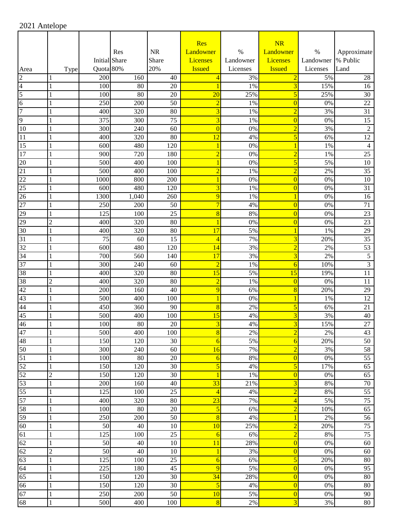|          |                     |                      |           |           | <b>Res</b>              |           | NR                      |                     |                 |
|----------|---------------------|----------------------|-----------|-----------|-------------------------|-----------|-------------------------|---------------------|-----------------|
|          |                     |                      | Res       | <b>NR</b> | Landowner               | $\%$      | Landowner               | $\%$                | Approximate     |
|          |                     | <b>Initial</b> Share |           | Share     | Licenses                | Landowner | Licenses                | Landowner  % Public |                 |
| Area     | Type                | Quota 80%            |           | 20%       | <b>Issued</b>           | Licenses  | <b>Issued</b>           | Licenses            | Land            |
| 2        |                     | 200                  | 160       | 40        | 4                       | 3%        | $\overline{2}$          | 5%                  | 28              |
| 4        | 1                   | 100                  | 80        | 20        |                         | 1%        | 3                       | 15%                 | 16              |
| 5        |                     | 100                  | 80        | 20        | $\overline{20}$         | 25%       | 5                       | 25%                 | 30              |
| 6        | 1                   | 250                  | 200       | 50        | $\overline{2}$          | 1%        | $\overline{0}$          | 0%                  | 22              |
| 7        |                     | 400                  | 320       | 80        | 3                       | 1%        | $\overline{2}$          | 3%                  | 31              |
| 9        | 1                   | 375                  | 300       | 75        | 3                       | 1%        | $\overline{0}$          | 0%                  | 15              |
| 10       | 1                   | 300                  | 240       | 60        | $\overline{0}$          | $0\%$     | $\overline{2}$          | 3%                  | $\overline{2}$  |
| 11       | 1                   | 400                  | 320       | 80        | $\overline{12}$         | 4%        | 5                       | 6%                  | 12              |
| 15       | 1                   | 600                  | 480       | 120       | 1                       | 0%        | 1                       | 1%                  | 4               |
| 17       |                     | 900                  | 720       | 180       | $\overline{2}$          | 0%        | $\overline{2}$          | 1%                  | 25              |
| 20       | 1                   | 500                  | 400       | 100       |                         | 0%        | 5                       | 5%                  | 10              |
| 21       | 1                   | 500                  | 400       | 100       | $\overline{2}$          | 1%        | $\overline{2}$          | 2%                  | $\overline{35}$ |
| 22       | 1                   | 1000                 | 800       | 200       | 1                       | 0%        | $\overline{0}$          | 0%                  | 10              |
| 25       | 1                   | 600                  | 480       | 120       | 3                       | 1%        | $\overline{0}$          | 0%                  | 31              |
| 26       |                     | 1300                 | 1,040     | 260       | 9                       | 1%        | 1                       | 0%                  | 16              |
| 27       | 1                   | 250                  | 200       | 50        | $\overline{7}$          | 4%        | $\overline{0}$          | 0%                  | 71              |
| 29       | 1                   | 125                  | 100       | 25        | 8                       | 8%        | $\overline{0}$          | 0%                  | 23              |
| 29       | $\overline{2}$      | 400                  | 320       | 80        |                         | 0%        | $\overline{0}$          | 0%                  | 23              |
| 30       | 1                   | 400                  | 320       | 80        | 17                      | 5%        | 1                       | 1%                  | 29<br>35        |
| 31<br>32 |                     | 75<br>600            | 60<br>480 | 15<br>120 | $\overline{4}$          | 7%        | 3<br>$\overline{2}$     | 20%<br>2%           | 53              |
| 34       | 1                   | 700                  | 560       | 140       | 14<br>17                | 3%<br>3%  | 3                       | 2%                  | 5               |
| 37       | 1                   | 300                  | 240       | 60        | $\overline{2}$          | $1\%$     |                         | 10%                 | $\mathfrak{Z}$  |
| 38       |                     | 400                  | 320       | 80        | 15                      | 5%        | 6<br>15                 | 19%                 | 11              |
| 38       | 1<br>$\overline{2}$ | 400                  | 320       | 80        | $\overline{2}$          | 1%        | $\overline{0}$          | 0%                  |                 |
| 42       | 1                   | 200                  | 160       | 40        | 9                       | 6%        | 8                       | 20%                 | 11<br>29        |
| 43       | $\mathbf{1}$        | 500                  | 400       | 100       | 1                       | 0%        | 1                       | 1%                  | 12              |
| 44       | 1                   | 450                  | 360       | 90        | 8                       | 2%        | 5                       | 6%                  | 21              |
| 45       | 1                   | 500                  | 400       | 100       | 15                      | 4%        | 3                       | 3%                  | 40              |
| 46       | 1                   | 100                  | 80        | 20        | 3                       | 4%        | $\overline{\mathbf{3}}$ | 15%                 | 27              |
| 47       | $\mathbf{1}$        | 500                  | 400       | 100       | $\overline{8}$          | 2%        | $\overline{2}$          | 2%                  | 43              |
| 48       | 1                   | 150                  | 120       | 30        | 6                       | 5%        | 6                       | 20%                 | 50              |
| 50       | 1                   | 300                  | 240       | 60        | 16                      | 7%        | $\overline{2}$          | 3%                  | 58              |
| 51       | 1                   | 100                  | 80        | 20        | $\overline{6}$          | $8\%$     | $\overline{0}$          | 0%                  | 55              |
| 52       | 1                   | 150                  | 120       | 30        | $\overline{5}$          | 4%        | 5                       | 17%                 | 65              |
| 52       | $\overline{c}$      | 150                  | 120       | 30        | $\overline{1}$          | $1\%$     | $\overline{0}$          | 0%                  | 65              |
| 53       | 1                   | 200                  | 160       | 40        | 33                      | 21%       | 3                       | 8%                  | $70\,$          |
| 55       |                     | 125                  | 100       | 25        | $\overline{4}$          | 4%        | $\overline{2}$          | 8%                  | 55              |
| 57       | 1                   | 400                  | 320       | 80        | $\overline{23}$         | 7%        | $\overline{4}$          | 5%                  | 75              |
| 58       | 1                   | 100                  | 80        | $20\,$    | $\overline{5}$          | 6%        | $\overline{2}$          | 10%                 | 65              |
| 59       | 1                   | 250                  | 200       | 50        | 8                       | 4%        | 1                       | $2\%$               | 56              |
| 60       | 1                   | 50                   | 40        | 10        | 10                      | 25%       | $\overline{2}$          | 20%                 | 75              |
| 61       | 1                   | 125                  | 100       | 25        | $\overline{6}$          | 6%        | $\overline{2}$          | 8%                  | 75              |
| 62       | 1                   | $\overline{50}$      | 40        | 10        | 11                      | 28%       | $\overline{0}$          | 0%                  | 60              |
| 62       | $\overline{2}$      | 50                   | 40        | 10        | 1                       | 3%        | $\overline{0}$          | 0%                  | 60              |
| 63       | 1                   | 125                  | 100       | 25        | $\overline{6}$          | 6%        | 5                       | 20%                 | 80              |
| 64       | 1                   | 225                  | 180       | 45        | 9                       | 5%        | $\overline{0}$          | 0%                  | 95              |
| 65       | $\mathbf{1}$        | 150                  | 120       | 30        | 34                      | 28%       | $\overline{0}$          | $0\%$               | 80              |
| 66       | 1                   | 150                  | 120       | 30        | $\overline{\mathbf{5}}$ | 4%        | $\overline{0}$          | $0\%$               | 80              |
| 67       | 1                   | 250                  | 200       | 50        | 10                      | 5%        | $\overline{0}$          | $0\%$               | 90              |
| 68       | $\mathbf{1}$        | 500                  | 400       | 100       | $\overline{8}$          | 2%        | $\overline{3}$          | 3%                  | 80              |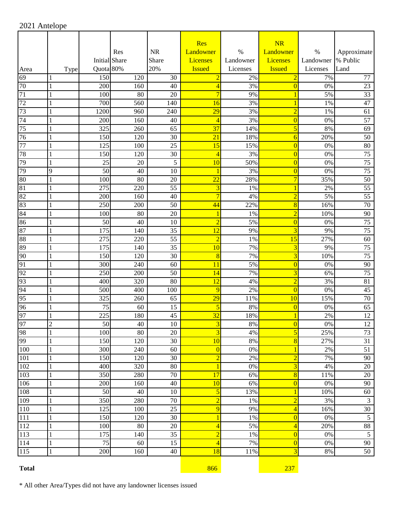|                 |                |                      |                 |           | <b>Res</b>              |           | <b>NR</b>               |           |                 |
|-----------------|----------------|----------------------|-----------------|-----------|-------------------------|-----------|-------------------------|-----------|-----------------|
|                 |                |                      | Res             | <b>NR</b> | Landowner               | $\%$      | Landowner               | $\%$      | Approximate     |
|                 |                | <b>Initial Share</b> |                 | Share     | Licenses                | Landowner | Licenses                | Landowner | % Public        |
| Area            | Type           | Quota 80%            |                 | 20%       | <b>Issued</b>           | Licenses  | <b>Issued</b>           | Licenses  | Land            |
| 69              |                | 150                  | 120             | 30        | $\overline{2}$          | 2%        | $\overline{2}$          | 7%        | 77              |
| 70              | 1              | 200                  | 160             | 40        | $\overline{4}$          | 3%        | $\overline{0}$          | 0%        | 23              |
| 71              | 1              | 100                  | 80              | 20        | $\overline{7}$          | 9%        | $\mathbf{1}$            | 5%        | $\overline{33}$ |
| 72              |                | 700                  | 560             | 140       | 16                      | 3%        | $\mathbf{1}$            | 1%        | 47              |
| 73              | 1              | 1200                 | 960             | 240       | 29                      | 3%        | $\overline{2}$          | 1%        | 61              |
| 74              | 1              | 200                  | 160             | 40        | $\overline{4}$          | 3%        | $\overline{0}$          | 0%        | 57              |
| 75              | 1              | 325                  | 260             | 65        | $\overline{37}$         | 14%       | 5                       | 8%        | 69              |
| 76              |                | 150                  | 120             | 30        | $\overline{21}$         | 18%       | $\overline{6}$          | 20%       | 50              |
| 77              | 1              | 125                  | 100             | 25        | 15                      | 15%       | $\overline{0}$          | 0%        | 80              |
| 78              | 1              | 150                  | 120             | 30        | $\overline{4}$          | 3%        | $\overline{0}$          | 0%        | $\overline{75}$ |
| 79              | 1              | 25                   | 20              | 5         | 10                      | 50%       | $\overline{0}$          | 0%        | $\overline{75}$ |
| 79              | 9              | $\overline{50}$      | 40              | 10        | 1                       | 3%        | $\overline{0}$          | 0%        | $\overline{75}$ |
| $\overline{80}$ | 1              | 100                  | $\overline{80}$ | 20        | $\overline{22}$         | 28%       | $\overline{7}$          | 35%       | $\overline{50}$ |
| $\overline{81}$ | 1              | 275                  | 220             | 55        | $\overline{\mathbf{3}}$ | 1%        | $\mathbf{1}$            | 2%        | $\overline{55}$ |
| 82              | 1              | 200                  | 160             | 40        | $\overline{7}$          | 4%        | $\overline{2}$          | 5%        | $\overline{55}$ |
| 83              |                | 250                  | 200             | 50        | 44                      | 22%       | $\overline{8}$          | 16%       | 70              |
| 84              |                | 100                  | 80              | 20        | 1                       | 1%        | $\overline{2}$          | 10%       | 90              |
| 86              |                | 50                   | 40              | 10        | $\overline{2}$          | 5%        | $\bf{0}$                | 0%        | 75              |
| 87              |                | 175                  | 140             | 35        | 12                      | 9%        | $\overline{3}$          | 9%        | $\overline{75}$ |
| 88              |                | 275                  | 220             | 55        | $\overline{2}$          | 1%        | 15                      | 27%       | 60              |
| 89              |                | 175                  | 140             | 35        | 10                      | 7%        | $\overline{3}$          | 9%        | 75              |
| 90              |                | 150                  | 120             | 30        | 8                       | 7%        | $\overline{3}$          | 10%       | 75              |
| 91              | 1              | 300                  | 240             | 60        | 11                      | 5%        | $\overline{0}$          | 0%        | 90              |
| 92              |                | 250                  | 200             | 50        | 14                      | 7%        | 3                       | 6%        | 75              |
| 93              |                | 400                  | 320             | 80        | 12                      | 4%        | $\overline{2}$          | 3%        | 81              |
| 94              |                | 500                  | 400             | 100       | 9                       | 2%        | $\overline{0}$          | 0%        | 45              |
| 95              |                | 325                  | 260             | 65        | $\overline{29}$         | 11%       | 10                      | 15%       | $\overline{70}$ |
| 96              |                | 75                   | 60              | 15        | 5                       | 8%        | $\overline{0}$          | 0%        | $\overline{65}$ |
| 97              |                | 225                  | 180             | 45        | $\overline{32}$         | 18%       | 1                       | 2%        | 12              |
| 97              | $\overline{c}$ | 50                   | 40              | 10        | $\overline{\mathbf{3}}$ | $8\%$     | $\overline{0}$          | 0%        | $\overline{12}$ |
| 98              | $\perp$        | 100                  | $80\,$          | $20\,$    | $\overline{\mathbf{3}}$ | $4\%$     | $\overline{\mathbf{5}}$ | 25%       | 73              |
| 99              | $\mathbf{1}$   | 150                  | 120             | 30        | $\overline{10}$         | $8\%$     | $\bf{8}$                | 27%       | $\overline{31}$ |
| 100             | 1              | 300                  | 240             | 60        | $\overline{0}$          | $0\%$     | $\overline{1}$          | 2%        | 51              |
| 101             | 1              | 150                  | 120             | 30        | $\overline{2}$          | 2%        | $\overline{2}$          | 7%        | 90              |
| 102             | 1              | 400                  | 320             | 80        | $\mathbf{1}$            | $0\%$     | $\overline{3}$          | 4%        | 20              |
| 103             | 1              | 350                  | 280             | 70        | 17                      | 6%        | $\bf{8}$                | 11%       | $20\,$          |
| 106             | 1              | 200                  | 160             | 40        | 10                      | 6%        | $\overline{0}$          | 0%        | 90              |
| 108             | 1              | 50                   | 40              | 10        | $\overline{\mathbf{5}}$ | 13%       | $\mathbf{1}$            | 10%       | 60              |
| 109             | 1              | 350                  | 280             | 70        | $\overline{2}$          | $1\%$     | $\overline{2}$          | 3%        | $\overline{3}$  |
| 110             | 1              | 125                  | 100             | 25        | 9                       | 9%        | $\overline{4}$          | 16%       | $30\,$          |
| 111             |                | 150                  | 120             | 30        | $\mathbf{1}$            | $1\%$     | $\overline{0}$          | 0%        | 5               |
| 112             | 1              | 100                  | 80              | 20        | $\overline{4}$          | 5%        | $\overline{4}$          | 20%       | $\overline{88}$ |
| 113             | $\mathbf{1}$   | 175                  | 140             | 35        | $\overline{2}$          | $1\%$     | $\overline{0}$          | 0%        | $\overline{5}$  |
| 114             | $\mathbf{1}$   | $\overline{75}$      | 60              | 15        | $\overline{4}$          | 7%        | $\overline{0}$          | 0%        | $\overline{90}$ |
| 115             | 1              | 200                  | 160             | 40        | 18                      | 11%       | $\overline{3}$          | 8%        | 50              |
| <b>Total</b>    |                |                      |                 |           | 866                     |           | 237                     |           |                 |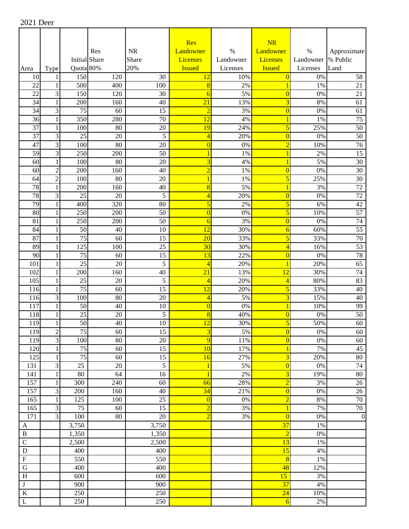|                           |                                |                      |                       |                      | Res                                       |           | NR                                        |           |                       |
|---------------------------|--------------------------------|----------------------|-----------------------|----------------------|-------------------------------------------|-----------|-------------------------------------------|-----------|-----------------------|
|                           |                                |                      | Res                   | <b>NR</b>            | Landowner                                 | $\%$      | Landowner                                 | $\%$      | Approximate           |
|                           |                                | <b>Initial Share</b> |                       | Share                | <b>Licenses</b>                           | Landowner | <b>Licenses</b>                           | Landowner | % Public              |
| Area                      | Type                           | Quota 80%            |                       | 20%                  | <b>Issued</b>                             | Licenses  | <b>Issued</b>                             | Licenses  | Land                  |
| 10                        | 1                              | 150                  | 120                   | 30                   | 12                                        | 10%       | $\overline{0}$                            | 0%        | 58                    |
| 22                        | 1                              | 500                  | 400                   | 100                  | 8                                         | 2%        | $\mathbf{1}$                              | 1%        | 21                    |
| 22                        | 3                              | 150                  | 120                   | 30                   | $\overline{6}$                            | 5%        | $\overline{0}$                            | 0%        | 21                    |
| 34                        | 1                              | 200                  | 160                   | 40                   | $\overline{21}$                           | 13%       | $\overline{\mathbf{3}}$                   | 8%        | 61                    |
| 34                        | 3                              | $\overline{75}$      | 60                    | 15                   | $\overline{2}$                            | 3%        | $\overline{0}$                            | 0%        | 61                    |
| 36                        | 1                              | 350                  | 280                   | 70                   | 12                                        | 4%        | $\overline{1}$                            | 1%        | 75                    |
| $\overline{37}$           | $\mathbf{1}$                   | 100                  | 80                    | 20                   | 19                                        | 24%       | 5                                         | 25%       | 50                    |
| $\overline{37}$<br>47     | 3<br>$\overline{3}$            | 25                   | 20<br>$\overline{80}$ | 5                    | $\overline{4}$                            | 20%       | $\bf{0}$                                  | 0%        | 50                    |
| $\overline{59}$           | $\overline{3}$                 | 100<br>250           |                       | $\overline{20}$      | $\overline{0}$                            | 0%        | $\overline{2}$                            | 10%       | 76                    |
| 60                        | $\mathbf{1}$                   | 100                  | 200<br>80             | 50<br>20             | $\overline{1}$<br>$\overline{\mathbf{3}}$ | 1%<br>4%  | $\overline{1}$<br>$\overline{1}$          | 2%<br>5%  | 15<br>$\overline{30}$ |
| 60                        | $\overline{c}$                 | 200                  | 160                   | 40                   | $\overline{2}$                            | 1%        | $\overline{0}$                            | 0%        | 30                    |
| 64                        | $\overline{c}$                 | 100                  | 80                    | 20                   | $\overline{1}$                            | 1%        | $\overline{\mathbf{5}}$                   | 25%       | 30                    |
| 78                        | $\mathbf{1}$                   | 200                  | 160                   | 40                   | 8                                         | 5%        | $\overline{1}$                            | 3%        | 72                    |
| 78                        | 3                              | 25                   | 20                    | 5                    | $\overline{4}$                            | 20%       | $\overline{0}$                            | 0%        | 72                    |
| 79                        | $\mathbf{1}$                   | 400                  | 320                   | 80                   | 5                                         | 2%        | 5                                         | 6%        | 42                    |
| 80                        | 1                              | 250                  | 200                   | 50                   | $\overline{0}$                            | 0%        | 5                                         | 10%       | 57                    |
| 81                        | $\mathbf{1}$                   | 250                  | 200                   | 50                   | $\overline{6}$                            | 3%        | $\overline{0}$                            | 0%        | 74                    |
| 84                        | $\mathbf{1}$                   | 50                   | 40                    | 10                   | 12                                        | 30%       | $\overline{6}$                            | 60%       | 55                    |
| 87                        | $\mathbf{1}$                   | 75                   | 60                    | 15                   | $\overline{20}$                           | 33%       | 5                                         | 33%       | 70                    |
| 89                        | $\mathbf{1}$                   | 125                  | 100                   | 25                   | 30                                        | 30%       | $\overline{4}$                            | 16%       | $\overline{53}$       |
| 90                        | $\mathbf{1}$                   | 75                   | 60                    | 15                   | 13                                        | 22%       | $\overline{0}$                            | 0%        | 78                    |
| 101                       | $\mathbf{1}$                   | 25                   | 20                    | 5                    | $\overline{4}$                            | 20%       | $\mathbf{1}$                              | 20%       | 65                    |
| 102                       | $\mathbf{1}$                   | 200                  | 160                   | 40                   | 21                                        | 13%       | 12                                        | 30%       | 74                    |
| 105                       | 1                              | 25                   | 20                    | 5                    | $\overline{4}$                            | 20%       | $\overline{4}$                            | 80%       | 83                    |
| 116                       | 1                              | 75                   | 60                    | $\overline{15}$      | $\overline{12}$                           | 20%       | 5                                         | 33%       | 40                    |
| 116                       | $\overline{\mathbf{3}}$        | 100                  | 80                    | 20                   | $\overline{4}$                            | 5%        | $\overline{3}$                            | 15%       | 40                    |
| 117                       | $\mathbf{1}$                   | 50                   | 40                    | 10                   | $\overline{0}$                            | 0%        | $\overline{1}$                            | 10%       | 99                    |
| 118                       | 1                              | 25                   | 20                    | 5                    | $\overline{8}$                            | 40%       | $\overline{0}$                            | 0%        | 50                    |
| 119                       | 1                              | 50                   | 40                    | 10                   | $\overline{12}$                           | 30%       | 5 <sup>1</sup>                            | 50%       | 60                    |
| 119                       | $\overline{c}$                 | 75                   | 60                    | 15                   | $\overline{\mathbf{3}}$                   | 5%        | $\overline{0}$                            | $0\%$     | 60                    |
| 119                       | $\overline{3}$                 | 100                  | 80                    | $\overline{20}$      | 9                                         | 11%       | $\overline{0}$                            | 0%        | 60                    |
| 120                       | $\mathbf{1}$                   | 75                   | 60                    | 15                   | 10                                        | 17%       | $\mathbf{1}$                              | 7%        | 45                    |
| 125                       | $\mathbf{1}$                   | $\overline{75}$      | 60                    | $\overline{15}$      | 16                                        | 27%       | $\overline{3}$                            | 20%       | 80                    |
| 131<br>141                | $\overline{3}$<br>$\mathbf{1}$ | 25<br>80             | 20<br>64              | $\overline{5}$<br>16 | $\overline{1}$<br>$\overline{1}$          | 5%<br>2%  | $\overline{0}$<br>$\overline{\mathbf{3}}$ | 0%<br>19% | 74<br>80              |
| 157                       | 1                              | 300                  | 240                   | 60                   | 66                                        | 28%       | $\overline{2}$                            | 3%        | 26                    |
| 157                       | $\overline{\mathbf{3}}$        | 200                  | 160                   | 40                   | 34                                        | 21%       | $\overline{0}$                            | 0%        | 26                    |
| 165                       | 1                              | 125                  | 100                   | 25                   | $\overline{0}$                            | $0\%$     | $\overline{2}$                            | $8\%$     | $70\,$                |
| 165                       | $\overline{\mathbf{3}}$        | $\overline{75}$      | 60                    | 15                   | $\overline{2}$                            | 3%        | $\overline{1}$                            | 7%        | 70                    |
| 171                       | $\overline{3}$                 | 100                  | 80                    | $20\,$               | $\overline{2}$                            | 3%        | $\overline{0}$                            | $0\%$     | $\boldsymbol{0}$      |
| $\mathbf{A}$              |                                | 3,750                |                       | 3,750                |                                           |           | 37                                        | 1%        |                       |
| $\, {\bf B}$              |                                | 1,350                |                       | 1,350                |                                           |           | $\overline{2}$                            | 0%        |                       |
| ${\bf C}$                 |                                | 2,500                |                       | 2,500                |                                           |           | 13                                        | $1\%$     |                       |
| ${\bf D}$                 |                                | 400                  |                       | 400                  |                                           |           | 15                                        | 4%        |                       |
| $\boldsymbol{\mathrm{F}}$ |                                | 550                  |                       | 550                  |                                           |           | $\overline{8}$                            | $1\%$     |                       |
| ${\bf G}$                 |                                | 400                  |                       | 400                  |                                           |           | 48                                        | 12%       |                       |
| H                         |                                | 600                  |                       | 600                  |                                           |           | 15                                        | 3%        |                       |
| $\overline{\mathbf{J}}$   |                                | 900                  |                       | 900                  |                                           |           | 37                                        | 4%        |                       |
| $\overline{\mathbf{K}}$   |                                | 250                  |                       | 250                  |                                           |           | $\overline{24}$                           | 10%       |                       |
| $\overline{L}$            |                                | 250                  |                       | 250                  |                                           |           | $\overline{6}$                            | $2\%$     |                       |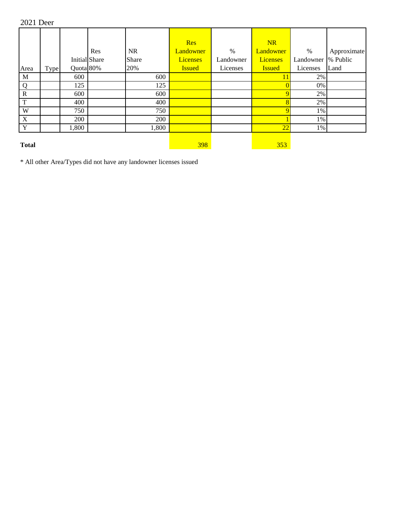2021 Deer

|              |      |           | Res<br><b>Initial Share</b> | <b>NR</b><br>Share | <b>Res</b><br>Landowner<br><b>Licenses</b> | $\%$<br>Landowner | <b>NR</b><br>Landowner<br><b>Licenses</b> | $\%$<br>Landowner  % Public | Approximate |
|--------------|------|-----------|-----------------------------|--------------------|--------------------------------------------|-------------------|-------------------------------------------|-----------------------------|-------------|
| Area         | Type | Quota 80% |                             | 20%                | <b>Issued</b>                              | Licenses          | <b>Issued</b>                             | Licenses                    | Land        |
| $\mathbf{M}$ |      | 600       |                             | 600                |                                            |                   | 11                                        | 2%                          |             |
| Q            |      | 125       |                             | 125                |                                            |                   |                                           | 0%                          |             |
| ${\bf R}$    |      | 600       |                             | 600                |                                            |                   |                                           | 2%                          |             |
| $\mathbf T$  |      | 400       |                             | 400                |                                            |                   | $\overline{\mathbf{8}}$                   | 2%                          |             |
| W            |      | 750       |                             | 750                |                                            |                   |                                           | 1%                          |             |
| $\mathbf X$  |      | 200       |                             | 200                |                                            |                   |                                           | 1%                          |             |
| $\mathbf Y$  |      | 1,800     |                             | 1,800              |                                            |                   | 22                                        | 1%                          |             |
| <b>Total</b> |      |           |                             |                    | 398                                        |                   | 353                                       |                             |             |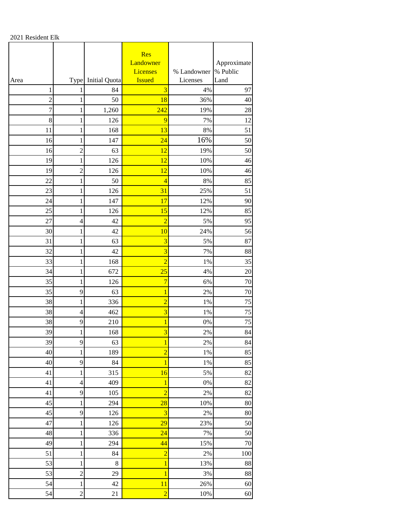2021 Resident Elk

|                |                |                      | Res<br>Landowner<br><b>Licenses</b> | % Landowner | Approximate<br>% Public |
|----------------|----------------|----------------------|-------------------------------------|-------------|-------------------------|
| Area           | <b>Type</b>    | <b>Initial Quota</b> | <b>Issued</b>                       | Licenses    | Land                    |
| 1              | 1              | 84                   | 3                                   | 4%          | 97                      |
| $\overline{c}$ | 1              | 50                   | 18                                  | 36%         | 40                      |
| 7              | 1              | 1,260                | 242                                 | 19%         | 28                      |
| 8              | 1              | 126                  | 9                                   | 7%          | 12                      |
| 11             | $\mathbf{1}$   | 168                  | 13                                  | 8%          | 51                      |
| 16             | 1              | 147                  | 24                                  | 16%         | 50                      |
| 16             | $\overline{c}$ | 63                   | 12                                  | 19%         | 50                      |
| 19             | 1              | 126                  | 12                                  | 10%         | 46                      |
| 19             | $\overline{c}$ | 126                  | 12                                  | 10%         | 46                      |
| 22             | 1              | 50                   | $\overline{4}$                      | 8%          | 85                      |
| 23             | 1              | 126                  | 31                                  | 25%         | 51                      |
| 24             | 1              | 147                  | 17                                  | 12%         | 90                      |
| 25             | 1              | 126                  | 15                                  | 12%         | 85                      |
| 27             | $\overline{4}$ | 42                   | $\overline{2}$                      | 5%          | 95                      |
| 30             | $\mathbf{1}$   | 42                   | 10                                  | 24%         | 56                      |
| 31             | $\mathbf{1}$   | 63                   | $\overline{\mathbf{3}}$             | 5%          | 87                      |
| 32             | $\mathbf{1}$   | 42                   | 3                                   | 7%          | 88                      |
| 33             | 1              | 168                  | $\overline{2}$                      | $1\%$       | 35                      |
| 34             | 1              | 672                  | 25                                  | 4%          | 20                      |
| 35             | 1              | 126                  | 7                                   | 6%          | 70                      |
| 35             | 9              | 63                   | 1                                   | 2%          | 70                      |
| 38             | 1              | 336                  | $\overline{2}$                      | 1%          | 75                      |
| 38             | 4              | 462                  | 3                                   | 1%          | 75                      |
| 38             | 9              | 210                  | $\mathbf{1}$                        | $0\%$       | 75                      |
| 39             | 1              | 168                  | $\overline{\mathbf{3}}$             | 2%          | 84                      |
| 39             | $\overline{9}$ | 63                   | $\mathbf{1}$                        | 2%          | 84                      |
| 40             | $\mathbf{1}$   | 189                  | $\overline{2}$                      | 1%          | 85                      |
| 40             | 9              | 84                   | $\overline{1}$                      | 1%          | 85                      |
| 41             | $\mathbf{1}$   | 315                  | 16                                  | 5%          | 82                      |
| 41             | $\overline{4}$ | 409                  | $\overline{1}$                      | $0\%$       | 82                      |
| 41             | 9              | 105                  | $\overline{2}$                      | 2%          | 82                      |
| 45             | $\mathbf{1}$   | 294                  | 28                                  | $10\%$      | $80\,$                  |
| 45             | 9              | 126                  | $\overline{\mathbf{3}}$             | $2\%$       | 80                      |
| 47             | $\mathbf{1}$   | 126                  | 29                                  | 23%         | 50                      |
| 48             | $\mathbf{1}$   | 336                  | 24                                  | 7%          | 50                      |
| 49             | $\mathbf{1}$   | 294                  | 44                                  | 15%         | $70\,$                  |
| 51             | $\mathbf{1}$   | 84                   | $\overline{2}$                      | $2\%$       | 100                     |
| 53             | $\,1$          | $\,8\,$              | $\mathbf{1}$                        | 13%         | 88                      |
| 53             | $\overline{c}$ | 29                   | $\overline{1}$                      | 3%          | 88                      |
| 54             | $\mathbf{1}$   | 42                   | 11                                  | 26%         | 60                      |
| 54             | $\overline{c}$ | 21                   | $\overline{2}$                      | $10\%$      | $60\,$                  |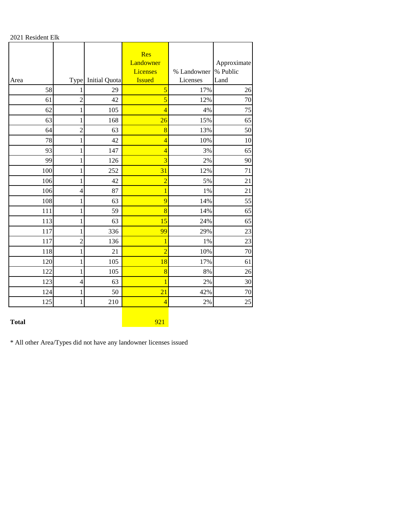2021 Resident Elk

|      |                |                      | Res<br>Landowner<br><b>Licenses</b> | % Landowner | Approximate<br>% Public |
|------|----------------|----------------------|-------------------------------------|-------------|-------------------------|
| Area | Type           | <b>Initial Quota</b> | <b>Issued</b>                       | Licenses    | Land                    |
| 58   |                | 29                   | 5                                   | 17%         | 26                      |
| 61   | $\overline{c}$ | 42                   | 5                                   | 12%         | 70                      |
| 62   | 1              | 105                  | $\overline{4}$                      | 4%          | 75                      |
| 63   | $\mathbf{1}$   | 168                  | 26                                  | 15%         | 65                      |
| 64   | $\overline{c}$ | 63                   | 8                                   | 13%         | 50                      |
| 78   | 1              | 42                   | $\overline{4}$                      | 10%         | 10                      |
| 93   | $\mathbf{1}$   | 147                  | $\overline{4}$                      | 3%          | 65                      |
| 99   | $\mathbf 1$    | 126                  | 3                                   | 2%          | 90                      |
| 100  | $\mathbf{1}$   | 252                  | 31                                  | 12%         | 71                      |
| 106  | 1              | 42                   | $\overline{2}$                      | 5%          | 21                      |
| 106  | $\overline{4}$ | 87                   | 1                                   | 1%          | 21                      |
| 108  | 1              | 63                   | 9                                   | 14%         | 55                      |
| 111  | 1              | 59                   | 8                                   | 14%         | 65                      |
| 113  | 1              | 63                   | 15                                  | 24%         | 65                      |
| 117  | 1              | 336                  | 99                                  | 29%         | 23                      |
| 117  | $\overline{2}$ | 136                  | 1                                   | 1%          | 23                      |
| 118  | 1              | 21                   | $\overline{2}$                      | 10%         | 70                      |
| 120  | 1              | 105                  | 18                                  | 17%         | 61                      |
| 122  | $\mathbf{1}$   | 105                  | 8                                   | 8%          | 26                      |
| 123  | $\overline{4}$ | 63                   |                                     | 2%          | 30                      |
| 124  | $\mathbf{1}$   | 50                   | 21                                  | 42%         | 70                      |
| 125  | 1              | 210                  | $\overline{4}$                      | 2%          | 25                      |

## **Total** 921